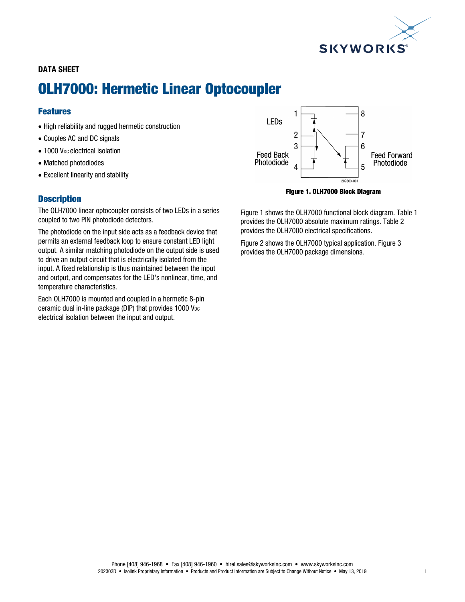

### DATA SHEET

# OLH7000: Hermetic Linear Optocoupler

## Features

- High reliability and rugged hermetic construction
- Couples AC and DC signals
- 1000 V<sub>DC</sub> electrical isolation
- Matched photodiodes
- Excellent linearity and stability

#### **Description**

The OLH7000 linear optocoupler consists of two LEDs in a series coupled to two PIN photodiode detectors.

The photodiode on the input side acts as a feedback device that permits an external feedback loop to ensure constant LED light output. A similar matching photodiode on the output side is used to drive an output circuit that is electrically isolated from the input. A fixed relationship is thus maintained between the input and output, and compensates for the LED's nonlinear, time, and temperature characteristics.

Each OLH7000 is mounted and coupled in a hermetic 8-pin ceramic dual in-line package (DIP) that provides 1000 V<sub>DC</sub> electrical isolation between the input and output.



Figure 1. OLH7000 Block Diagram

Figure 1 shows the OLH7000 functional block diagram. Table 1 provides the OLH7000 absolute maximum ratings. Table 2 provides the OLH7000 electrical specifications.

Figure 2 shows the OLH7000 typical application. Figure 3 provides the OLH7000 package dimensions.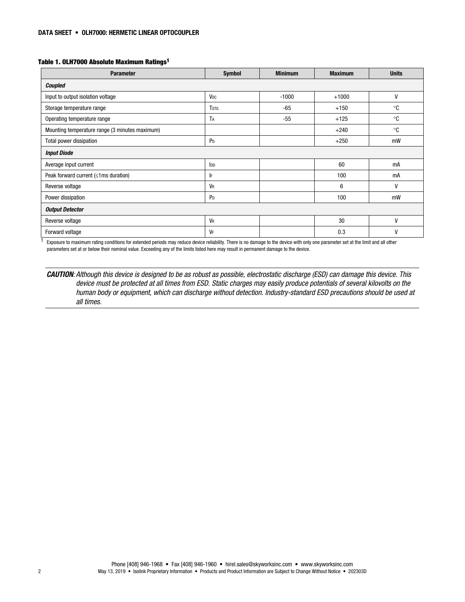#### Table 1. OLH7000 Absolute Maximum Ratings1

| <b>Parameter</b>                               | <b>Symbol</b>   | <b>Minimum</b> | <b>Maximum</b> | <b>Units</b> |  |  |  |
|------------------------------------------------|-----------------|----------------|----------------|--------------|--|--|--|
| Coupled                                        |                 |                |                |              |  |  |  |
| Input to output isolation voltage              | V <sub>DC</sub> | $-1000$        | $+1000$        | V            |  |  |  |
| Storage temperature range                      | <b>T</b> stg    | -65            | $+150$         | °C           |  |  |  |
| Operating temperature range                    | TA              | $-55$          | $+125$         | ∘c           |  |  |  |
| Mounting temperature range (3 minutes maximum) |                 |                | $+240$         | °C           |  |  |  |
| Total power dissipation                        | P <sub>D</sub>  |                | $+250$         | mW           |  |  |  |
| <b>Input Diode</b>                             |                 |                |                |              |  |  |  |
| Average input current                          | I <sub>DD</sub> |                | 60             | mA           |  |  |  |
| Peak forward current $(\leq 1$ ms duration)    | IF.             |                | 100            | mA           |  |  |  |
| Reverse voltage                                | <b>VR</b>       |                | 6              | V            |  |  |  |
| Power dissipation                              | P <sub>D</sub>  |                | 100            | mW           |  |  |  |
| <b>Output Detector</b>                         |                 |                |                |              |  |  |  |
| Reverse voltage                                | <b>VR</b>       |                | 30             | $\mathsf{V}$ |  |  |  |
| Forward voltage                                | VF              |                | 0.3            | $\mathsf{V}$ |  |  |  |

 $1$  Exposure to maximum rating conditions for extended periods may reduce device reliability. There is no damage to the device with only one parameter set at the limit and all other parameters set at or below their nominal value. Exceeding any of the limits listed here may result in permanent damage to the device.

CAUTION: Although this device is designed to be as robust as possible, electrostatic discharge (ESD) can damage this device. This device must be protected at all times from ESD. Static charges may easily produce potentials of several kilovolts on the human body or equipment, which can discharge without detection. Industry-standard ESD precautions should be used at all times.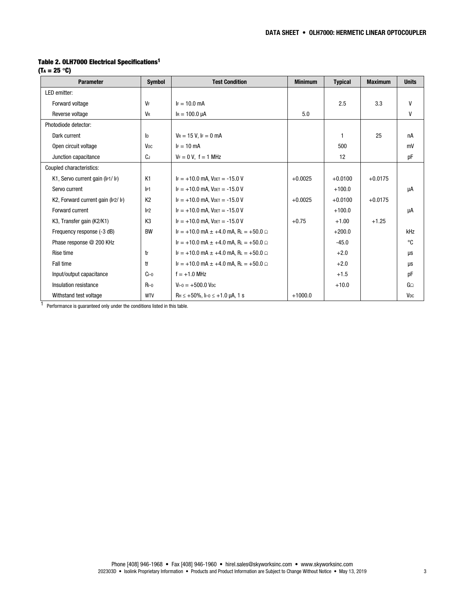#### Table 2. OLH7000 Electrical Specifications1

 $(T_A = 25 \text{ }^\circ \text{C})$ 

| <b>Parameter</b>                  | <b>Symbol</b>   | <b>Test Condition</b>                                                                    | <b>Minimum</b> | <b>Typical</b> | <b>Maximum</b> | <b>Units</b>          |
|-----------------------------------|-----------------|------------------------------------------------------------------------------------------|----------------|----------------|----------------|-----------------------|
| LED emitter:                      |                 |                                                                                          |                |                |                |                       |
| Forward voltage                   | VF              | $F = 10.0$ mA                                                                            |                | 2.5            | 3.3            | v                     |
| Reverse voltage                   | <b>V</b> R      | $I_R = 100.0 \mu A$                                                                      | 5.0            |                |                | v                     |
| Photodiode detector:              |                 |                                                                                          |                |                |                |                       |
| Dark current                      | ID              | $V_R = 15 V$ , IF = 0 mA                                                                 |                | 1              | 25             | пA                    |
| Open circuit voltage              | V <sub>oc</sub> | $F = 10$ mA                                                                              |                | 500            |                | mV                    |
| Junction capacitance              | <b>C</b> J      | $V_F = 0 V$ , $f = 1 MHz$                                                                |                | 12             |                | pF                    |
| Coupled characteristics:          |                 |                                                                                          |                |                |                |                       |
| K1, Servo current gain (IP1/IF)   | K <sub>1</sub>  | $IF = +10.0$ mA, $V_{DET} = -15.0$ V                                                     | $+0.0025$      | $+0.0100$      | $+0.0175$      |                       |
| Servo current                     | P1              | $IF = +10.0$ mA, $V_{DET} = -15.0$ V                                                     |                | $+100.0$       |                | μA                    |
| K2, Forward current gain (IP2/IF) | K <sub>2</sub>  | $IF = +10.0$ mA, $V$ DET = -15.0 V                                                       | $+0.0025$      | $+0.0100$      | $+0.0175$      |                       |
| Forward current                   | P2              | $F = +10.0$ mA. VDET = -15.0 V                                                           |                | $+100.0$       |                | μA                    |
| K3, Transfer gain (K2/K1)         | K <sub>3</sub>  | $IF = +10.0$ mA, $V_{DET} = -15.0$ V                                                     | $+0.75$        | $+1.00$        | $+1.25$        |                       |
| Frequency response (-3 dB)        | <b>BW</b>       | $F = +10.0$ mA $\pm +4.0$ mA, RL = +50.0 $\Omega$                                        |                | $+200.0$       |                | kHz                   |
| Phase response @ 200 KHz          |                 | $F = +10.0$ mA $\pm +4.0$ mA. RL = +50.0 $\Omega$                                        |                | $-45.0$        |                | °C                    |
| Rise time                         | tr              | $F = +10.0$ mA $\pm +4.0$ mA, RL = +50.0 $\Omega$                                        |                | $+2.0$         |                | μs                    |
| <b>Fall time</b>                  | tf              | $F = +10.0$ mA $\pm +4.0$ mA, RL = +50.0 $\Omega$                                        |                | $+2.0$         |                | μs                    |
| Input/output capacitance          | $C1-0$          | $f = +1.0$ MHz                                                                           |                | $+1.5$         |                | pF                    |
| Insulation resistance             | $R_{I-0}$       | $V_{1-0} = +500.0$ V <sub>pc</sub>                                                       |                | $+10.0$        |                | GΩ                    |
| Withstand test voltage            | <b>WTV</b>      | $\text{R}_{\text{H}} \leq +50\%$ , $\text{I}_{\text{I}-0} \leq +1.0$ $\mu\text{A}$ , 1 s | $+1000.0$      |                |                | <b>V<sub>DC</sub></b> |

 $1$  Performance is guaranteed only under the conditions listed in this table.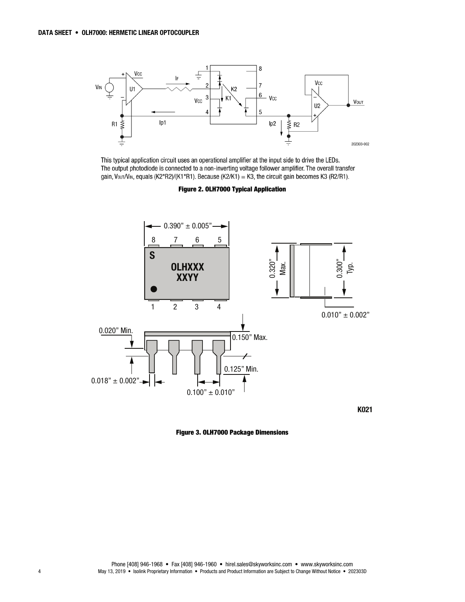

This typical application circuit uses an operational amplifier at the input side to drive the LEDs. The output photodiode is connected to a non-inverting voltage follower amplifier. The overall transfer gain, Vour/Vin, equals (K2\*R2)/(K1\*R1). Because (K2/K1) = K3, the circuit gain becomes K3 (R2/R1).

Figure 2. OLH7000 Typical Application



K021

Figure 3. OLH7000 Package Dimensions